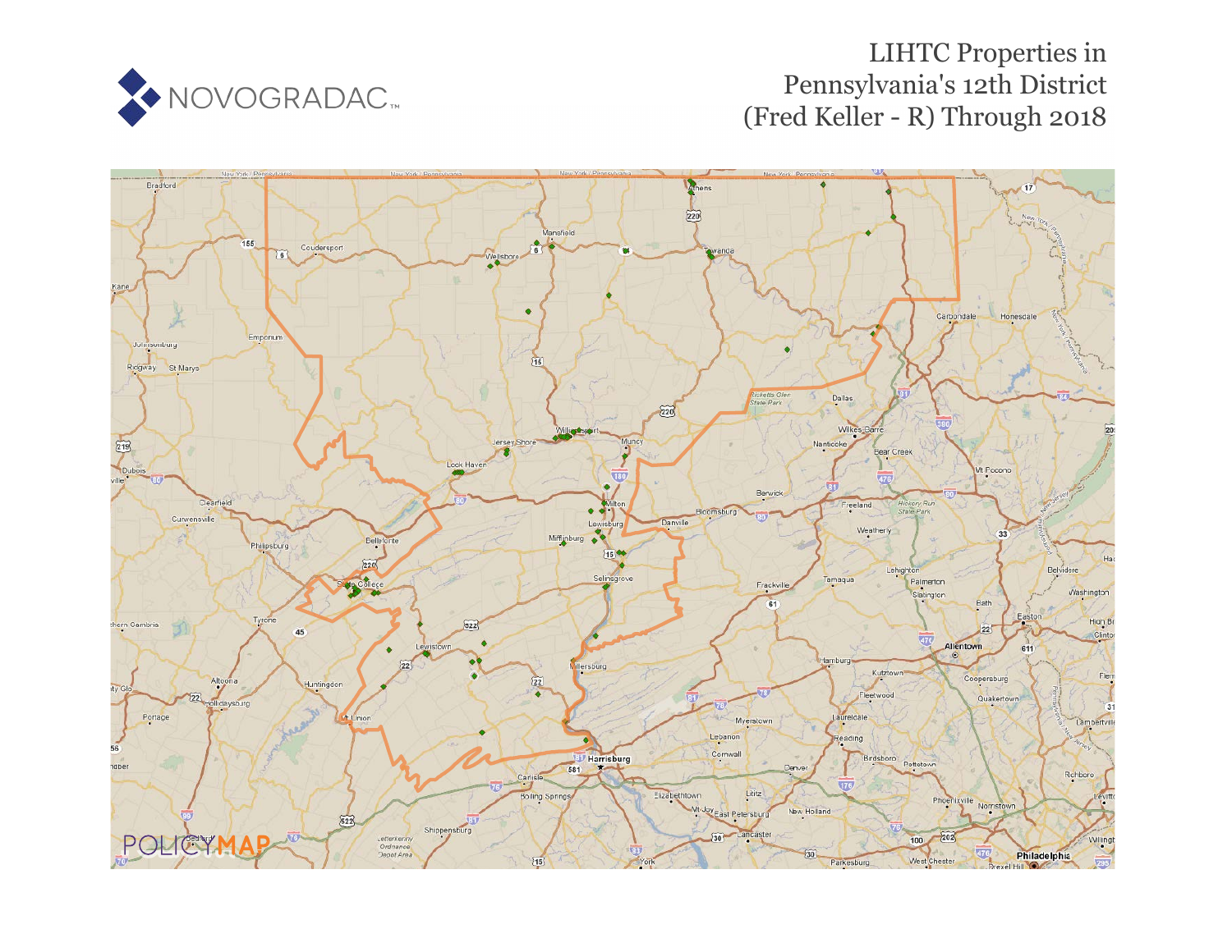

# LIHTC Properties in Pennsylvania's 12th District (Fred Keller - R) Through 2018

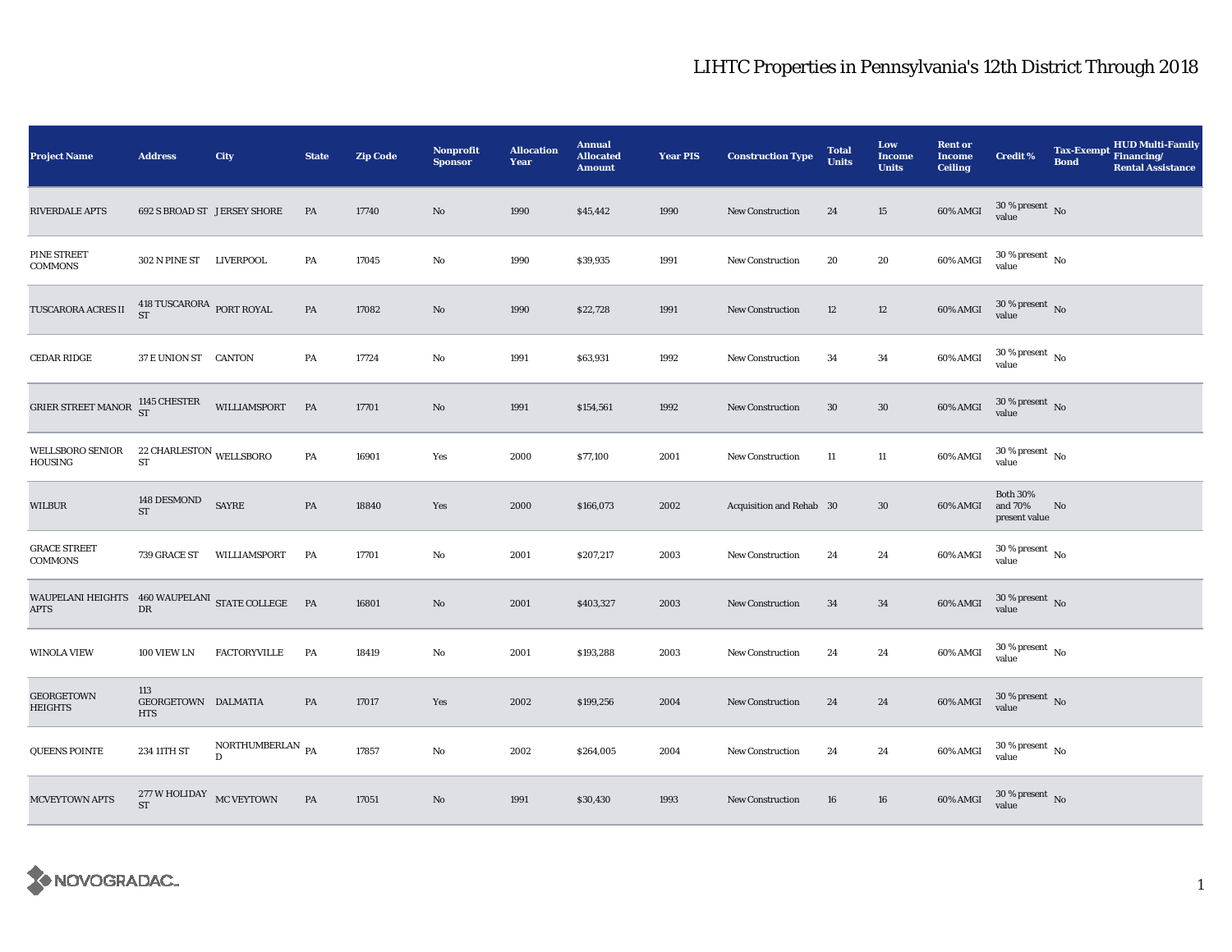| <b>Project Name</b>                                             | <b>Address</b>                                                  | <b>City</b>                           | <b>State</b> | <b>Zip Code</b> | <b>Nonprofit</b><br><b>Sponsor</b> | <b>Allocation</b><br>Year | <b>Annual</b><br><b>Allocated</b><br><b>Amount</b> | <b>Year PIS</b> | <b>Construction Type</b> | <b>Total</b><br><b>Units</b> | Low<br><b>Income</b><br><b>Units</b> | <b>Rent or</b><br><b>Income</b><br><b>Ceiling</b> | <b>Credit %</b>                             | <b>Tax-Exempt</b><br><b>Bond</b> | <b>HUD Multi-Family</b><br>Financing/<br><b>Rental Assistance</b> |
|-----------------------------------------------------------------|-----------------------------------------------------------------|---------------------------------------|--------------|-----------------|------------------------------------|---------------------------|----------------------------------------------------|-----------------|--------------------------|------------------------------|--------------------------------------|---------------------------------------------------|---------------------------------------------|----------------------------------|-------------------------------------------------------------------|
| <b>RIVERDALE APTS</b>                                           |                                                                 | <b>692 S BROAD ST JERSEY SHORE</b>    | PA           | 17740           | No                                 | 1990                      | \$45,442                                           | 1990            | <b>New Construction</b>  | 24                           | 15                                   | $60\%$ AMGI                                       | $30$ % present $\,$ No value                |                                  |                                                                   |
| PINE STREET<br><b>COMMONS</b>                                   | 302 N PINE ST LIVERPOOL                                         |                                       | PA           | 17045           | No                                 | 1990                      | \$39,935                                           | 1991            | <b>New Construction</b>  | 20                           | 20                                   | 60% AMGI                                          | $30\,\%$ present $\,$ No $\,$<br>value      |                                  |                                                                   |
| TUSCARORA ACRES II                                              | $418$ TUSCARORA $\,$ PORT ROYAL ST                              |                                       | PA           | 17082           | No                                 | 1990                      | \$22,728                                           | 1991            | New Construction         | 12                           | 12                                   | 60% AMGI                                          | $30\,\%$ present $\,$ No value              |                                  |                                                                   |
| CEDAR RIDGE                                                     | 37 E UNION ST CANTON                                            |                                       | PA           | 17724           | No                                 | 1991                      | \$63,931                                           | 1992            | New Construction         | 34                           | 34                                   | 60% AMGI                                          | $30\,\%$ present $\,$ No value              |                                  |                                                                   |
| <b>GRIER STREET MANOR</b>                                       | 1145 CHESTER<br>ST                                              | WILLIAMSPORT                          | <b>PA</b>    | 17701           | No.                                | 1991                      | \$154,561                                          | 1992            | <b>New Construction</b>  | 30                           | $30\,$                               | 60% AMGI                                          | $30\,\%$ present $\,$ No value              |                                  |                                                                   |
| <b>WELLSBORO SENIOR</b><br>HOUSING                              | $\rm 22$ CHARLESTON WELLSBORO<br>${\rm ST}$                     |                                       | PA           | 16901           | Yes                                | 2000                      | \$77,100                                           | 2001            | <b>New Construction</b>  | 11                           | 11                                   | 60% AMGI                                          | $30\,\%$ present $\,$ No value              |                                  |                                                                   |
| WILBUR                                                          | 148 DESMOND<br>$\operatorname{ST}$                              | $\ensuremath{\mathrm{SAYRE}}$         | PA           | 18840           | Yes                                | 2000                      | \$166,073                                          | 2002            | Acquisition and Rehab 30 |                              | 30                                   | 60% AMGI                                          | <b>Both 30%</b><br>and 70%<br>present value | No                               |                                                                   |
| <b>GRACE STREET</b><br><b>COMMONS</b>                           | 739 GRACE ST                                                    | WILLIAMSPORT                          | PA           | 17701           | No                                 | 2001                      | \$207,217                                          | 2003            | New Construction         | 24                           | 24                                   | 60% AMGI                                          | $30\,\%$ present $\,$ No $\,$<br>value      |                                  |                                                                   |
| WAUPELANI HEIGHTS 460 WAUPELANI STATE COLLEGE PA<br><b>APTS</b> | DR                                                              |                                       |              | 16801           | No                                 | 2001                      | \$403,327                                          | 2003            | <b>New Construction</b>  | 34                           | 34                                   | 60% AMGI                                          | $30\,\%$ present $\,$ No value              |                                  |                                                                   |
| <b>WINOLA VIEW</b>                                              | 100 VIEW LN                                                     | <b>FACTORYVILLE</b>                   | PA           | 18419           | No                                 | 2001                      | \$193,288                                          | 2003            | <b>New Construction</b>  | 24                           | 24                                   | 60% AMGI                                          | $30\,\%$ present $\,$ No value              |                                  |                                                                   |
| <b>GEORGETOWN</b><br>HEIGHTS                                    | 113<br>GEORGETOWN DALMATIA<br><b>HTS</b>                        |                                       | PA           | 17017           | Yes                                | 2002                      | \$199,256                                          | 2004            | <b>New Construction</b>  | 24                           | 24                                   | 60% AMGI                                          | $30\,\%$ present $\,$ No value              |                                  |                                                                   |
| QUEENS POINTE                                                   | 234 11TH ST                                                     | NORTHUMBERLAN $_{PA}$<br>$\mathbf{D}$ |              | 17857           | No                                 | 2002                      | \$264,005                                          | 2004            | <b>New Construction</b>  | 24                           | 24                                   | 60% AMGI                                          | $30$ % present $\,$ No $\,$<br>value        |                                  |                                                                   |
| <b>MCVEYTOWN APTS</b>                                           | $277\,\mathrm{W}$ HOLIDAY $$\,\mathrm{MC}$ VEYTOWN<br><b>ST</b> |                                       | PA           | 17051           | No                                 | 1991                      | \$30,430                                           | 1993            | New Construction         | 16                           | 16                                   | 60% AMGI                                          | $30\,\%$ present $\,$ No value              |                                  |                                                                   |

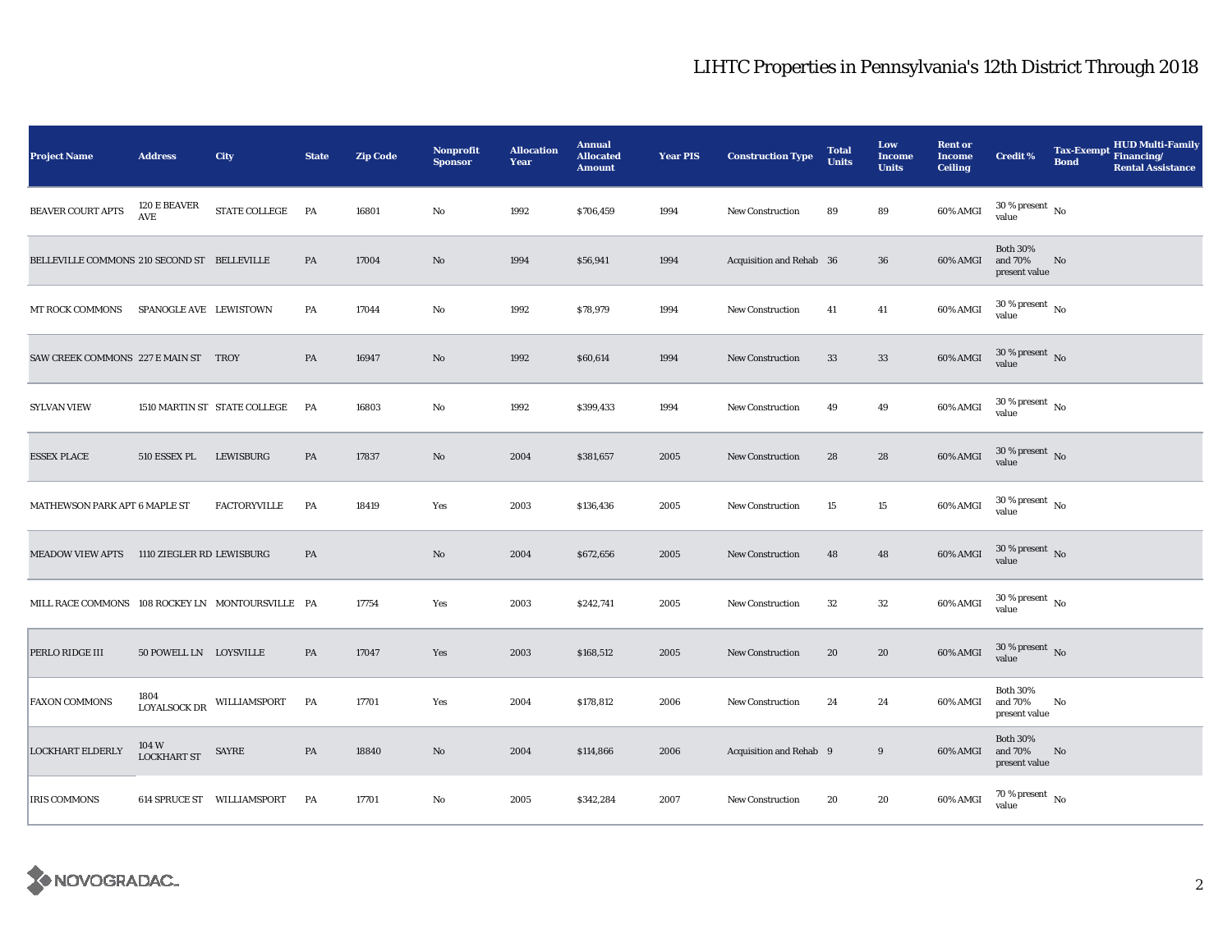| <b>Project Name</b>                              | <b>Address</b>                       | City                                | <b>State</b> | <b>Zip Code</b> | <b>Nonprofit</b><br><b>Sponsor</b> | <b>Allocation</b><br>Year | <b>Annual</b><br><b>Allocated</b><br><b>Amount</b> | Year PIS | <b>Construction Type</b> | <b>Total</b><br><b>Units</b> | Low<br><b>Income</b><br><b>Units</b> | <b>Rent or</b><br><b>Income</b><br><b>Ceiling</b> | <b>Credit %</b>                             | Tax-Exempt Financing/<br><b>Bond</b> | <b>HUD Multi-Family</b><br><b>Rental Assistance</b> |
|--------------------------------------------------|--------------------------------------|-------------------------------------|--------------|-----------------|------------------------------------|---------------------------|----------------------------------------------------|----------|--------------------------|------------------------------|--------------------------------------|---------------------------------------------------|---------------------------------------------|--------------------------------------|-----------------------------------------------------|
| BEAVER COURT APTS                                | 120 E BEAVER<br>$\operatorname{AVE}$ | STATE COLLEGE                       | PA           | 16801           | No                                 | 1992                      | \$706,459                                          | 1994     | <b>New Construction</b>  | 89                           | 89                                   | 60% AMGI                                          | $30\,\%$ present $\,$ No value              |                                      |                                                     |
| BELLEVILLE COMMONS 210 SECOND ST BELLEVILLE      |                                      |                                     | PA           | 17004           | $\mathbf{No}$                      | 1994                      | \$56,941                                           | 1994     | Acquisition and Rehab 36 |                              | ${\bf 36}$                           | 60% AMGI                                          | <b>Both 30%</b><br>and 70%<br>present value | No                                   |                                                     |
| <b>MT ROCK COMMONS</b>                           | SPANOGLE AVE LEWISTOWN               |                                     | PA           | 17044           | No                                 | 1992                      | \$78,979                                           | 1994     | New Construction         | 41                           | 41                                   | 60% AMGI                                          | $30$ % present $\,$ No $\,$<br>value        |                                      |                                                     |
| SAW CREEK COMMONS 227 E MAIN ST TROY             |                                      |                                     | PA           | 16947           | No                                 | 1992                      | \$60,614                                           | 1994     | <b>New Construction</b>  | 33                           | 33                                   | 60% AMGI                                          | $30$ % present $\,$ No $\,$<br>value        |                                      |                                                     |
| <b>SYLVAN VIEW</b>                               |                                      | 1510 MARTIN ST STATE COLLEGE        | PA           | 16803           | No                                 | 1992                      | \$399,433                                          | 1994     | <b>New Construction</b>  | 49                           | 49                                   | 60% AMGI                                          | $30\,\%$ present $\,$ No $\,$<br>value      |                                      |                                                     |
| <b>ESSEX PLACE</b>                               | 510 ESSEX PL                         | LEWISBURG                           | PA           | 17837           | No                                 | 2004                      | \$381,657                                          | 2005     | <b>New Construction</b>  | 28                           | 28                                   | $60\%$ AMGI                                       | $30\,\%$ present $\,$ No value              |                                      |                                                     |
| MATHEWSON PARK APT 6 MAPLE ST                    |                                      | <b>FACTORYVILLE</b>                 | PA           | 18419           | Yes                                | 2003                      | \$136,436                                          | 2005     | <b>New Construction</b>  | 15                           | $15\,$                               | 60% AMGI                                          | $30\,\%$ present $\,$ No value              |                                      |                                                     |
| MEADOW VIEW APTS 1110 ZIEGLER RD LEWISBURG       |                                      |                                     | PA           |                 | No                                 | 2004                      | \$672,656                                          | 2005     | <b>New Construction</b>  | 48                           | 48                                   | 60% AMGI                                          | $30\,\%$ present $\,$ No value              |                                      |                                                     |
| MILL RACE COMMONS 108 ROCKEY LN MONTOURSVILLE PA |                                      |                                     |              | 17754           | Yes                                | 2003                      | \$242,741                                          | 2005     | <b>New Construction</b>  | $32\,$                       | ${\bf 32}$                           | 60% AMGI                                          | $30\,\%$ present $\,$ No $\,$<br>value      |                                      |                                                     |
| PERLO RIDGE III                                  | 50 POWELL LN LOYSVILLE               |                                     | PA           | 17047           | Yes                                | 2003                      | \$168,512                                          | 2005     | New Construction         | 20                           | 20                                   | $60\%$ AMGI                                       | $30$ % present $\,$ No $\,$<br>value        |                                      |                                                     |
| <b>FAXON COMMONS</b>                             |                                      | $\,$ LOYALSOCK DR $\,$ WILLIAMSPORT | PA           | 17701           | Yes                                | 2004                      | \$178,812                                          | 2006     | <b>New Construction</b>  | 24                           | 24                                   | 60% AMGI                                          | <b>Both 30%</b><br>and 70%<br>present value | No                                   |                                                     |
| <b>LOCKHART ELDERLY</b>                          | 104 W<br><b>LOCKHART ST</b>          | SAYRE                               | PA           | 18840           | $\mathbf{No}$                      | 2004                      | \$114,866                                          | 2006     | Acquisition and Rehab 9  |                              | $9\,$                                | 60% AMGI                                          | <b>Both 30%</b><br>and 70%<br>present value | No                                   |                                                     |
| <b>IRIS COMMONS</b>                              |                                      | 614 SPRUCE ST WILLIAMSPORT          | PA           | 17701           | No                                 | 2005                      | \$342,284                                          | 2007     | New Construction         | 20                           | 20                                   | 60% AMGI                                          | $70\,\%$ present $\,$ No value              |                                      |                                                     |

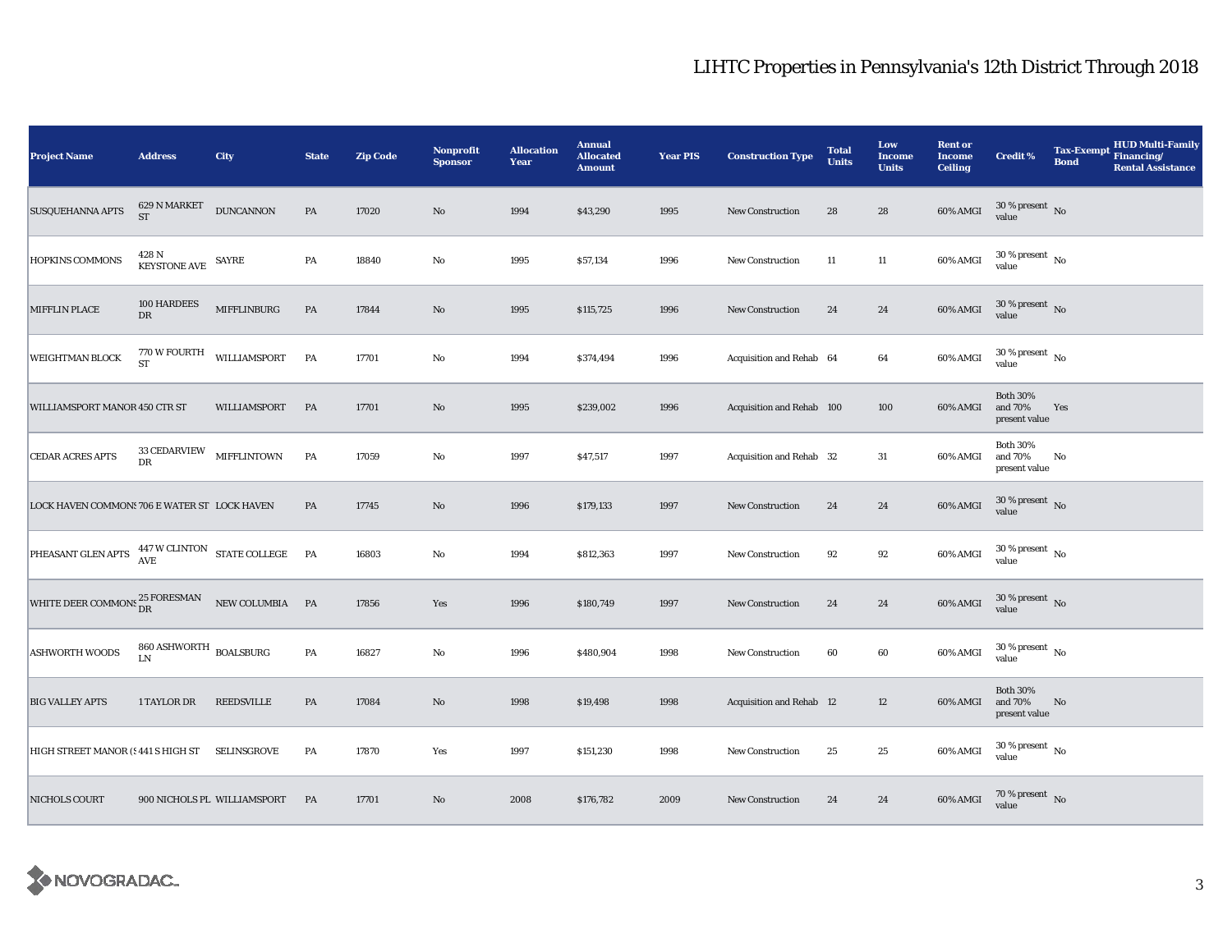| <b>Project Name</b>                                                                                                                                                                                                                                                    | <b>Address</b>                                                 | City                        | <b>State</b>  | <b>Zip Code</b> | Nonprofit<br><b>Sponsor</b> | <b>Allocation</b><br>Year | <b>Annual</b><br><b>Allocated</b><br><b>Amount</b> | <b>Year PIS</b> | <b>Construction Type</b>        | <b>Total</b><br><b>Units</b> | Low<br><b>Income</b><br><b>Units</b> | <b>Rent or</b><br><b>Income</b><br><b>Ceiling</b> | <b>Credit %</b>                             | <b>HUD Multi-Family</b><br><b>Tax-Exempt</b><br>Financing/<br><b>Bond</b><br><b>Rental Assistance</b> |
|------------------------------------------------------------------------------------------------------------------------------------------------------------------------------------------------------------------------------------------------------------------------|----------------------------------------------------------------|-----------------------------|---------------|-----------------|-----------------------------|---------------------------|----------------------------------------------------|-----------------|---------------------------------|------------------------------|--------------------------------------|---------------------------------------------------|---------------------------------------------|-------------------------------------------------------------------------------------------------------|
| SUSQUEHANNA APTS                                                                                                                                                                                                                                                       | $629$ N MARKET<br><b>ST</b>                                    | <b>DUNCANNON</b>            | $\mathbf{PA}$ | 17020           | No                          | 1994                      | \$43,290                                           | 1995            | <b>New Construction</b>         | 28                           | 28                                   | 60% AMGI                                          | $30\,\%$ present $\,$ No value              |                                                                                                       |
| HOPKINS COMMONS                                                                                                                                                                                                                                                        | $428$ N $$\,\rm{K }\,\rm{E} YSTONE\,\,AVE$$ $$\,\rm{S} A YRE$$ |                             | PA            | 18840           | $\mathbf{No}$               | 1995                      | \$57,134                                           | 1996            | <b>New Construction</b>         | 11                           | $11\,$                               | 60% AMGI                                          | $30\,\%$ present $\,$ No $\,$<br>value      |                                                                                                       |
| <b>MIFFLIN PLACE</b>                                                                                                                                                                                                                                                   | 100 HARDEES<br>${\rm DR}$                                      | MIFFLINBURG                 | PA            | 17844           | $\rm No$                    | 1995                      | \$115,725                                          | 1996            | New Construction                | 24                           | ${\bf 24}$                           | $60\%$ AMGI                                       | $30\,\%$ present $\,$ No value              |                                                                                                       |
| <b>WEIGHTMAN BLOCK</b>                                                                                                                                                                                                                                                 | 770 W FOURTH<br><b>ST</b>                                      | WILLIAMSPORT                | PA            | 17701           | $\mathbf{No}$               | 1994                      | \$374,494                                          | 1996            | Acquisition and Rehab 64        |                              | 64                                   | 60% AMGI                                          | $30$ % present $\,$ No $\,$<br>value        |                                                                                                       |
| WILLIAMSPORT MANOR 450 CTR ST                                                                                                                                                                                                                                          |                                                                | WILLIAMSPORT                | PA            | 17701           | $\rm No$                    | 1995                      | \$239,002                                          | 1996            | Acquisition and Rehab 100       |                              | 100                                  | 60% AMGI                                          | <b>Both 30%</b><br>and 70%<br>present value | Yes                                                                                                   |
| CEDAR ACRES APTS                                                                                                                                                                                                                                                       | 33 CEDARVIEW MIFFLINTOWN<br>${\rm DR}$                         |                             | PA            | 17059           | $\rm No$                    | 1997                      | \$47,517                                           | 1997            | Acquisition and Rehab 32        |                              | 31                                   | 60% AMGI                                          | <b>Both 30%</b><br>and 70%<br>present value | No                                                                                                    |
| LOCK HAVEN COMMONS 706 E WATER ST LOCK HAVEN                                                                                                                                                                                                                           |                                                                |                             | PA            | 17745           | $\rm\thinspace No$          | 1996                      | \$179,133                                          | 1997            | <b>New Construction</b>         | 24                           | ${\bf 24}$                           | 60% AMGI                                          | $30\,\%$ present $\,$ No value              |                                                                                                       |
| $\boxed{\textrm{PHEASANT GLEN APTS}} \begin{tabular}{ll} $447 \, \mathrm{W}\, \mathrm{CLINTON} & \mathrm{STATE}\, \mathrm{COLLEGE} \\ A \mathrm{VE} & \end{tabular}} \begin{tabular}{ll} \bf{PA} & \bf{PA} \\ \bf{PA} & \bf{PA} \\ \bf{PA} & \bf{PA} \\ \end{tabular}$ |                                                                |                             |               | 16803           | $\rm No$                    | 1994                      | \$812,363                                          | 1997            | New Construction                | 92                           | $92\,$                               | 60% AMGI                                          | $30\,\%$ present $\,$ No value              |                                                                                                       |
| WHITE DEER COMMONS ${}^{25}_{\text{DR}}$ FORESMAN NEW COLUMBIA PA                                                                                                                                                                                                      |                                                                |                             |               | 17856           | Yes                         | 1996                      | \$180,749                                          | 1997            | New Construction                | 24                           | ${\bf 24}$                           | 60% AMGI                                          | $30\,\%$ present $\,$ No value              |                                                                                                       |
| <b>ASHWORTH WOODS</b>                                                                                                                                                                                                                                                  | $860\,\mathrm{ASHWORTH}$ BOALSBURG<br><b>LN</b>                |                             | PA            | 16827           | $\rm No$                    | 1996                      | \$480,904                                          | 1998            | New Construction                | 60                           | 60                                   | 60% AMGI                                          | $30\,\%$ present $\,$ No $\,$<br>value      |                                                                                                       |
| <b>BIG VALLEY APTS</b>                                                                                                                                                                                                                                                 | 1 TAYLOR DR                                                    | REEDSVILLE                  | PA            | 17084           | No                          | 1998                      | \$19,498                                           | 1998            | <b>Acquisition and Rehab 12</b> |                              | 12                                   | 60% AMGI                                          | <b>Both 30%</b><br>and 70%<br>present value | No                                                                                                    |
| HIGH STREET MANOR (5 441 S HIGH ST SELINSGROVE                                                                                                                                                                                                                         |                                                                |                             | PA            | 17870           | Yes                         | 1997                      | \$151,230                                          | 1998            | New Construction                | 25                           | 25                                   | 60% AMGI                                          | $30\,\%$ present $\,$ No value              |                                                                                                       |
| NICHOLS COURT                                                                                                                                                                                                                                                          |                                                                | 900 NICHOLS PL WILLIAMSPORT | PA            | 17701           | No                          | 2008                      | \$176,782                                          | 2009            | <b>New Construction</b>         | 24                           | 24                                   | 60% AMGI                                          | $70\,\%$ present $\,$ No value              |                                                                                                       |

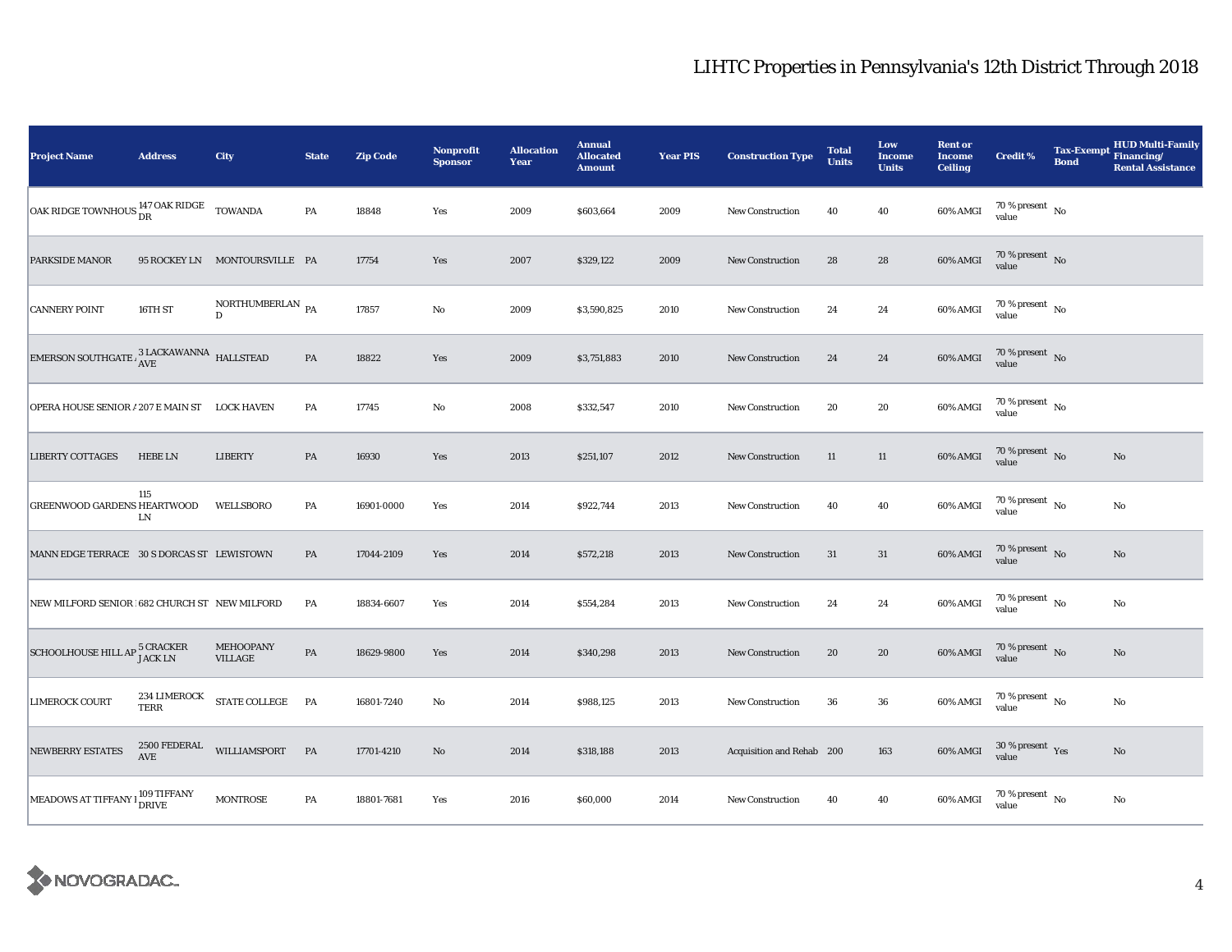| <b>Project Name</b>                                               | <b>Address</b>                       | City                                           | <b>State</b>  | <b>Zip Code</b> | Nonprofit<br><b>Sponsor</b> | <b>Allocation</b><br>Year | <b>Annual</b><br><b>Allocated</b><br><b>Amount</b> | <b>Year PIS</b> | <b>Construction Type</b>  | <b>Total</b><br><b>Units</b> | Low<br><b>Income</b><br><b>Units</b> | <b>Rent or</b><br><b>Income</b><br><b>Ceiling</b> | <b>Credit %</b>                        | <b>Tax-Exempt</b><br><b>Bond</b> | <b>HUD Multi-Family</b><br>Financing/<br><b>Rental Assistance</b> |
|-------------------------------------------------------------------|--------------------------------------|------------------------------------------------|---------------|-----------------|-----------------------------|---------------------------|----------------------------------------------------|-----------------|---------------------------|------------------------------|--------------------------------------|---------------------------------------------------|----------------------------------------|----------------------------------|-------------------------------------------------------------------|
| OAK RIDGE TOWNHOUS $_{\text{DR}}^{147 \text{ OAK RIDGE}}$ TOWANDA |                                      |                                                | PA            | 18848           | Yes                         | 2009                      | \$603,664                                          | 2009            | <b>New Construction</b>   | 40                           | 40                                   | 60% AMGI                                          | 70 % present $\hbox{~No}$<br>value     |                                  |                                                                   |
| <b>PARKSIDE MANOR</b>                                             |                                      | 95 ROCKEY LN MONTOURSVILLE PA                  |               | 17754           | Yes                         | 2007                      | \$329,122                                          | 2009            | <b>New Construction</b>   | 28                           | 28                                   | 60% AMGI                                          | $70$ % present $\,$ No $\,$<br>value   |                                  |                                                                   |
| <b>CANNERY POINT</b>                                              | 16TH ST                              | NORTHUMBERLAN $_{\mathrm{PA}}$<br>$\mathbf{D}$ |               | 17857           | $\mathbf{No}$               | 2009                      | \$3,590,825                                        | 2010            | <b>New Construction</b>   | 24                           | 24                                   | 60% AMGI                                          | $70$ % present $_{\, \rm No}$<br>value |                                  |                                                                   |
|                                                                   |                                      |                                                | $\mathbf{PA}$ | 18822           | Yes                         | 2009                      | \$3,751,883                                        | 2010            | <b>New Construction</b>   | 24                           | 24                                   | 60% AMGI                                          | 70 % present $\hbox{~No}$<br>value     |                                  |                                                                   |
| <b>OPERA HOUSE SENIOR / 207 E MAIN ST</b>                         |                                      | <b>LOCK HAVEN</b>                              | PA            | 17745           | $\mathbf {No}$              | 2008                      | \$332,547                                          | 2010            | <b>New Construction</b>   | 20                           | 20                                   | 60% AMGI                                          | 70 % present $\hbox{~No}$<br>value     |                                  |                                                                   |
| <b>LIBERTY COTTAGES</b>                                           | <b>HEBE LN</b>                       | <b>LIBERTY</b>                                 | PA            | 16930           | Yes                         | 2013                      | \$251,107                                          | 2012            | New Construction          | 11                           | 11                                   | 60% AMGI                                          | 70 % present $\hbox{~No}$<br>value     |                                  | $\mathbf{No}$                                                     |
| <b>GREENWOOD GARDENS HEARTWOOD</b>                                | 115<br>LN                            | <b>WELLSBORO</b>                               | PA            | 16901-0000      | Yes                         | 2014                      | \$922,744                                          | 2013            | New Construction          | 40                           | 40                                   | 60% AMGI                                          | 70 % present $\hbox{~No}$<br>value     |                                  | No                                                                |
| MANN EDGE TERRACE 30 S DORCAS ST LEWISTOWN                        |                                      |                                                | PA            | 17044-2109      | Yes                         | 2014                      | \$572,218                                          | 2013            | <b>New Construction</b>   | 31                           | 31                                   | 60% AMGI                                          | 70 % present $\bar{N}$ o<br>value      |                                  | $\mathbf{No}$                                                     |
| NEW MILFORD SENIOR 1682 CHURCH ST NEW MILFORD                     |                                      |                                                | PA            | 18834-6607      | Yes                         | 2014                      | \$554,284                                          | 2013            | <b>New Construction</b>   | 24                           | 24                                   | 60% AMGI                                          | 70 % present $\hbox{~No}$<br>value     |                                  | No                                                                |
| SCHOOLHOUSE HILL AP 5 CRACKER                                     |                                      | MEHOOPANY<br><b>VILLAGE</b>                    | $\mathbf{PA}$ | 18629-9800      | Yes                         | 2014                      | \$340,298                                          | 2013            | <b>New Construction</b>   | 20                           | 20                                   | 60% AMGI                                          | $70$ % present $\,$ No $\,$<br>value   |                                  | No                                                                |
| <b>LIMEROCK COURT</b>                                             | 234 LIMEROCK<br><b>TERR</b>          | $\operatorname{STATE}\operatorname{COLLEGE}$   | PA            | 16801-7240      | $\rm No$                    | 2014                      | \$988,125                                          | 2013            | <b>New Construction</b>   | 36                           | ${\bf 36}$                           | 60% AMGI                                          | 70 % present $\hbox{~No}$<br>value     |                                  | $\mathbf{No}$                                                     |
| <b>NEWBERRY ESTATES</b>                                           | 2500 FEDERAL<br>$\operatorname{AVE}$ | WILLIAMSPORT                                   | <b>PA</b>     | 17701-4210      | $\mathbf{N}\mathbf{o}$      | 2014                      | \$318,188                                          | 2013            | Acquisition and Rehab 200 |                              | 163                                  | 60% AMGI                                          | $30\,\%$ present $\,$ Yes value        |                                  | $\mathbf{No}$                                                     |
| MEADOWS AT TIFFANY I DRIVE                                        | 109 TIFFANY                          | <b>MONTROSE</b>                                | PA            | 18801-7681      | Yes                         | 2016                      | \$60,000                                           | 2014            | New Construction          | 40                           | 40                                   | 60% AMGI                                          | $70$ % present $\,$ No $\,$<br>value   |                                  | No                                                                |

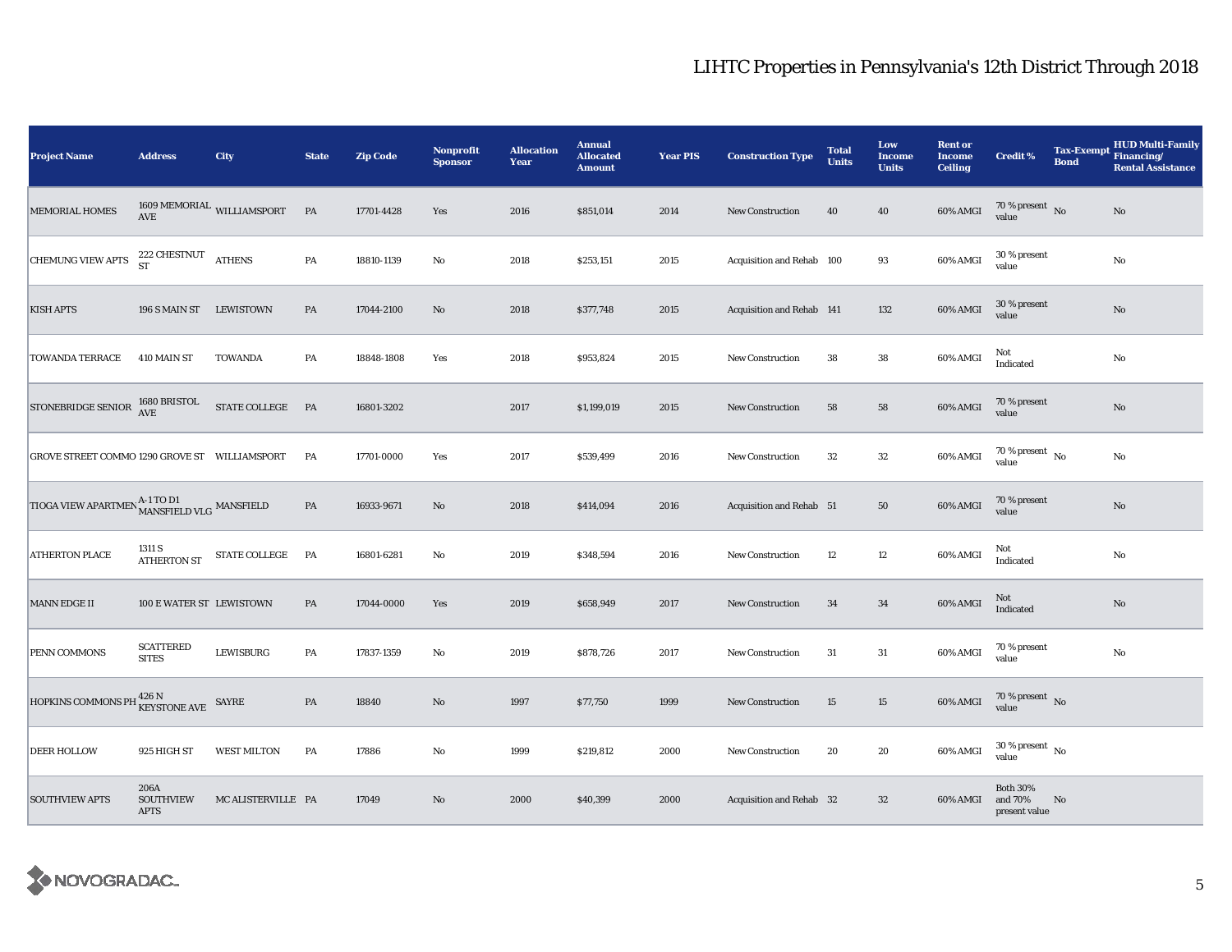| <b>Project Name</b>                                      | <b>Address</b>                          | City                                   | <b>State</b>  | <b>Zip Code</b> | Nonprofit<br><b>Sponsor</b> | <b>Allocation</b><br>Year | <b>Annual</b><br><b>Allocated</b><br><b>Amount</b> | <b>Year PIS</b> | <b>Construction Type</b>  | <b>Total</b><br><b>Units</b> | Low<br><b>Income</b><br><b>Units</b> | <b>Rent or</b><br><b>Income</b><br><b>Ceiling</b> | <b>Credit %</b>                             | <b>Bond</b> | <b>HUD Multi-Family</b><br>Tax-Exempt Financing/<br><b>Rental Assistance</b> |
|----------------------------------------------------------|-----------------------------------------|----------------------------------------|---------------|-----------------|-----------------------------|---------------------------|----------------------------------------------------|-----------------|---------------------------|------------------------------|--------------------------------------|---------------------------------------------------|---------------------------------------------|-------------|------------------------------------------------------------------------------|
| <b>MEMORIAL HOMES</b>                                    | $\operatorname{AVE}$                    | $1609\,\mathrm{MEMORIAL}$ WILLIAMSPORT | PA            | 17701-4428      | Yes                         | 2016                      | \$851,014                                          | 2014            | <b>New Construction</b>   | 40                           | 40                                   | 60% AMGI                                          | $70\,\%$ present $${\rm No}$$ value         |             | No                                                                           |
| <b>CHEMUNG VIEW APTS</b>                                 | $222$ CHESTNUT $\quad$ ATHENS ST        |                                        | PA            | 18810-1139      | No                          | 2018                      | \$253,151                                          | 2015            | Acquisition and Rehab 100 |                              | 93                                   | 60% AMGI                                          | 30 % present<br>value                       |             | $\rm No$                                                                     |
| <b>KISH APTS</b>                                         | 196 S MAIN ST LEWISTOWN                 |                                        | PA            | 17044-2100      | $\rm No$                    | 2018                      | \$377,748                                          | 2015            | Acquisition and Rehab 141 |                              | 132                                  | 60% AMGI                                          | 30 % present<br>value                       |             | No                                                                           |
| <b>TOWANDA TERRACE</b>                                   | 410 MAIN ST                             | <b>TOWANDA</b>                         | PA            | 18848-1808      | Yes                         | 2018                      | \$953,824                                          | 2015            | New Construction          | 38                           | 38                                   | 60% AMGI                                          | Not<br>Indicated                            |             | No                                                                           |
| <b>STONEBRIDGE SENIOR</b>                                | 1680 BRISTOL<br>$\operatorname{AVE}$    | STATE COLLEGE PA                       |               | 16801-3202      |                             | 2017                      | \$1,199,019                                        | 2015            | <b>New Construction</b>   | 58                           | 58                                   | 60% AMGI                                          | 70 % present<br>value                       |             | No                                                                           |
| GROVE STREET COMMO 1290 GROVE ST  WILLIAMSPORT           |                                         |                                        | PA            | 17701-0000      | Yes                         | 2017                      | \$539,499                                          | 2016            | <b>New Construction</b>   | 32                           | 32                                   | 60% AMGI                                          | $70$ % present $\,$ No $\,$<br>value        |             | No                                                                           |
| TIOGA VIEW APARTMEN A-1 TO D1<br>MANSFIELD VLG MANSFIELD |                                         |                                        | $\mathbf{PA}$ | 16933-9671      | No                          | 2018                      | \$414,094                                          | 2016            | Acquisition and Rehab 51  |                              | 50                                   | 60% AMGI                                          | 70 % present<br>value                       |             | $\mathbf{No}$                                                                |
| <b>ATHERTON PLACE</b>                                    | 1311 S<br><b>ATHERTON ST</b>            | STATE COLLEGE                          | PA            | 16801-6281      | No                          | 2019                      | \$348,594                                          | 2016            | <b>New Construction</b>   | 12                           | 12                                   | 60% AMGI                                          | Not<br>Indicated                            |             | No                                                                           |
| <b>MANN EDGE II</b>                                      | 100 E WATER ST LEWISTOWN                |                                        | PA            | 17044-0000      | Yes                         | 2019                      | \$658,949                                          | 2017            | New Construction          | 34                           | 34                                   | 60% AMGI                                          | Not<br>Indicated                            |             | No                                                                           |
| PENN COMMONS                                             | <b>SCATTERED</b><br><b>SITES</b>        | <b>LEWISBURG</b>                       | PA            | 17837-1359      | No                          | 2019                      | \$878,726                                          | 2017            | New Construction          | 31                           | 31                                   | 60% AMGI                                          | 70 % present<br>value                       |             | No                                                                           |
| HOPKINS COMMONS PH                                       | I <sup>426 N</sup><br>KEYSTONE AVE      | SAYRE                                  | PA            | 18840           | No                          | 1997                      | \$77,750                                           | 1999            | New Construction          | 15                           | 15                                   | 60% AMGI                                          | 70 % present $\,$ No $\,$<br>value          |             |                                                                              |
| <b>DEER HOLLOW</b>                                       | 925 HIGH ST                             | <b>WEST MILTON</b>                     | PA            | 17886           | No                          | 1999                      | \$219,812                                          | 2000            | New Construction          | 20                           | 20                                   | 60% AMGI                                          | $30$ % present $\,$ No $\,$<br>value        |             |                                                                              |
| <b>SOUTHVIEW APTS</b>                                    | 206A<br><b>SOUTHVIEW</b><br><b>APTS</b> | MC ALISTERVILLE PA                     |               | 17049           | No                          | 2000                      | \$40,399                                           | 2000            | Acquisition and Rehab 32  |                              | $32\,$                               | 60% AMGI                                          | <b>Both 30%</b><br>and 70%<br>present value | No          |                                                                              |

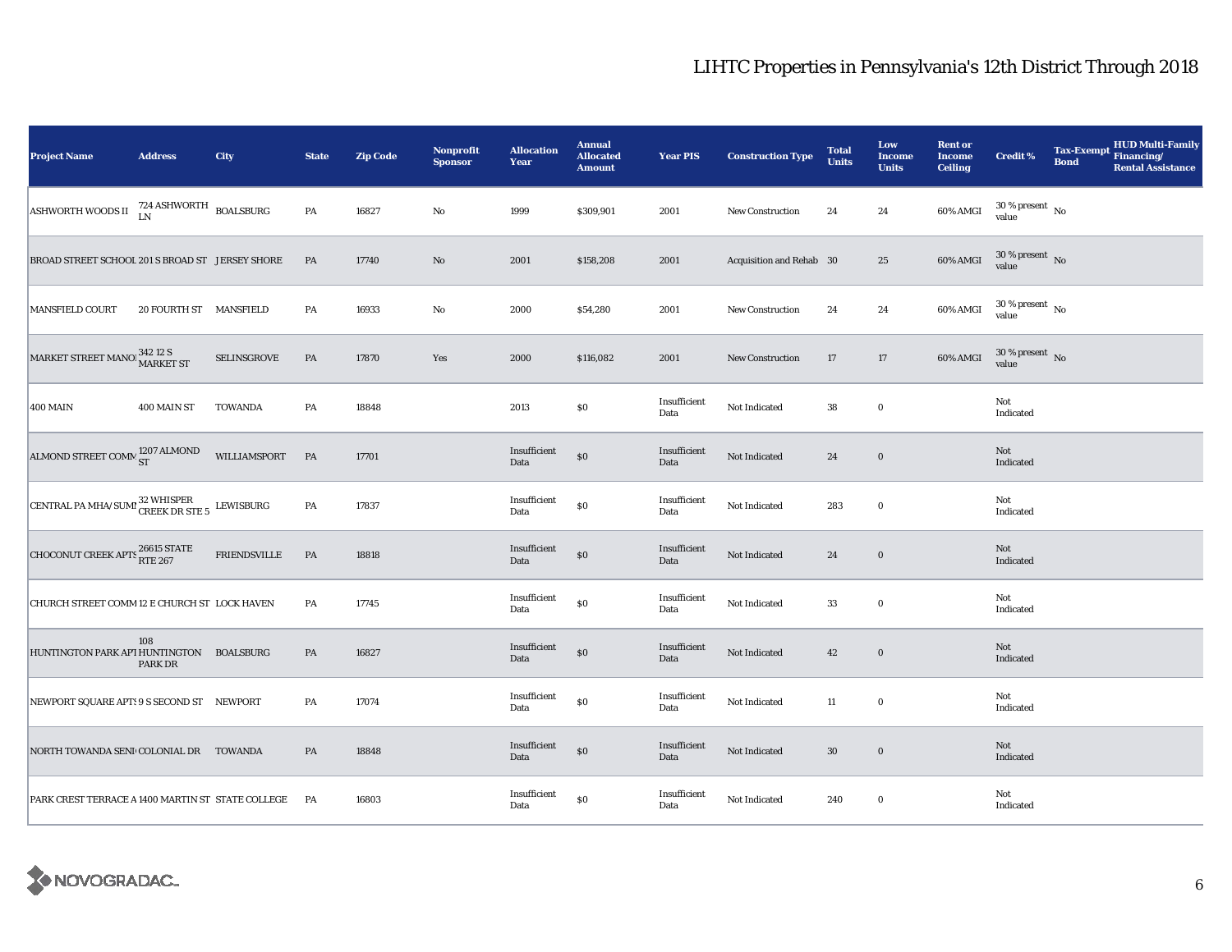| <b>Project Name</b>                                                   | <b>Address</b>                    | <b>City</b>         | <b>State</b> | <b>Zip Code</b> | <b>Nonprofit</b><br><b>Sponsor</b> | <b>Allocation</b><br>Year | <b>Annual</b><br><b>Allocated</b><br><b>Amount</b> | <b>Year PIS</b>      | <b>Construction Type</b> | <b>Total</b><br><b>Units</b> | Low<br><b>Income</b><br><b>Units</b> | <b>Rent or</b><br><b>Income</b><br><b>Ceiling</b> | <b>Credit %</b>                        | <b>Bond</b> | <b>HUD Multi-Family</b><br>Tax-Exempt Financing/<br><b>Rental Assistance</b> |
|-----------------------------------------------------------------------|-----------------------------------|---------------------|--------------|-----------------|------------------------------------|---------------------------|----------------------------------------------------|----------------------|--------------------------|------------------------------|--------------------------------------|---------------------------------------------------|----------------------------------------|-------------|------------------------------------------------------------------------------|
| <b>ASHWORTH WOODS II</b>                                              | $724$ ASHWORTH $_{\rm BOALSBURG}$ |                     | PA           | 16827           | $\mathbf{No}$                      | 1999                      | \$309,901                                          | 2001                 | <b>New Construction</b>  | 24                           | 24                                   | 60% AMGI                                          | $30\,\%$ present $\,$ No value         |             |                                                                              |
| BROAD STREET SCHOOL 201 S BROAD ST JERSEY SHORE                       |                                   |                     | PA           | 17740           | No                                 | 2001                      | \$158,208                                          | 2001                 | Acquisition and Rehab 30 |                              | 25                                   | 60% AMGI                                          | $30\,\%$ present $\,$ No $\,$<br>value |             |                                                                              |
| <b>MANSFIELD COURT</b>                                                | 20 FOURTH ST MANSFIELD            |                     | PA           | 16933           | No                                 | 2000                      | \$54,280                                           | 2001                 | New Construction         | 24                           | 24                                   | 60% AMGI                                          | $30\,\%$ present $\,$ No value         |             |                                                                              |
| MARKET STREET MANO 342 12 S<br>MARKET ST                              |                                   | SELINSGROVE         | PA           | 17870           | Yes                                | 2000                      | \$116,082                                          | 2001                 | New Construction         | 17                           | 17                                   | 60% AMGI                                          | $30\,\%$ present $\,$ No value         |             |                                                                              |
| <b>400 MAIN</b>                                                       | 400 MAIN ST                       | <b>TOWANDA</b>      | PA           | 18848           |                                    | 2013                      | \$0                                                | Insufficient<br>Data | Not Indicated            | 38                           | $\bf{0}$                             |                                                   | Not<br>Indicated                       |             |                                                                              |
| ALMOND STREET COMM <sup>1207</sup> ALMOND                             |                                   | WILLIAMSPORT        | <b>PA</b>    | 17701           |                                    | Insufficient<br>Data      | \$0                                                | Insufficient<br>Data | Not Indicated            | 24                           | $\mathbf 0$                          |                                                   | Not<br>Indicated                       |             |                                                                              |
| CENTRAL PA MHA/SUMI $^{32}_{\text{CREEK DR} \text{ STE} 5}$ LEWISBURG |                                   |                     | PA           | 17837           |                                    | Insufficient<br>Data      | $\$0$                                              | Insufficient<br>Data | Not Indicated            | 283                          | $\mathbf 0$                          |                                                   | Not<br>Indicated                       |             |                                                                              |
| <b>CHOCONUT CREEK APTS 26615 STATE</b>                                |                                   | <b>FRIENDSVILLE</b> | PA           | 18818           |                                    | Insufficient<br>Data      | \$0                                                | Insufficient<br>Data | Not Indicated            | 24                           | $\mathbf 0$                          |                                                   | Not<br>Indicated                       |             |                                                                              |
| CHURCH STREET COMM 12 E CHURCH ST LOCK HAVEN                          |                                   |                     | PA           | 17745           |                                    | Insufficient<br>Data      | $\$0$                                              | Insufficient<br>Data | Not Indicated            | 33                           | $\bf{0}$                             |                                                   | Not<br>Indicated                       |             |                                                                              |
| HUNTINGTON PARK API HUNTINGTON BOALSBURG                              | 108<br><b>PARK DR</b>             |                     | PA           | 16827           |                                    | Insufficient<br>Data      | \$0                                                | Insufficient<br>Data | Not Indicated            | 42                           | $\mathbf 0$                          |                                                   | Not<br>Indicated                       |             |                                                                              |
| NEWPORT SQUARE APT: 9 S SECOND ST NEWPORT                             |                                   |                     | PA           | 17074           |                                    | Insufficient<br>Data      | $\$0$                                              | Insufficient<br>Data | Not Indicated            | $11\,$                       | $\mathbf 0$                          |                                                   | Not<br>Indicated                       |             |                                                                              |
| NORTH TOWANDA SENI COLONIAL DR TOWANDA                                |                                   |                     | PA           | 18848           |                                    | Insufficient<br>Data      | $\$0$                                              | Insufficient<br>Data | Not Indicated            | $30\,$                       | $\mathbf 0$                          |                                                   | Not<br>Indicated                       |             |                                                                              |
| PARK CREST TERRACE A 1400 MARTIN ST STATE COLLEGE PA                  |                                   |                     |              | 16803           |                                    | Insufficient<br>Data      | $\$0$                                              | Insufficient<br>Data | Not Indicated            | 240                          | $\bf{0}$                             |                                                   | Not<br>Indicated                       |             |                                                                              |

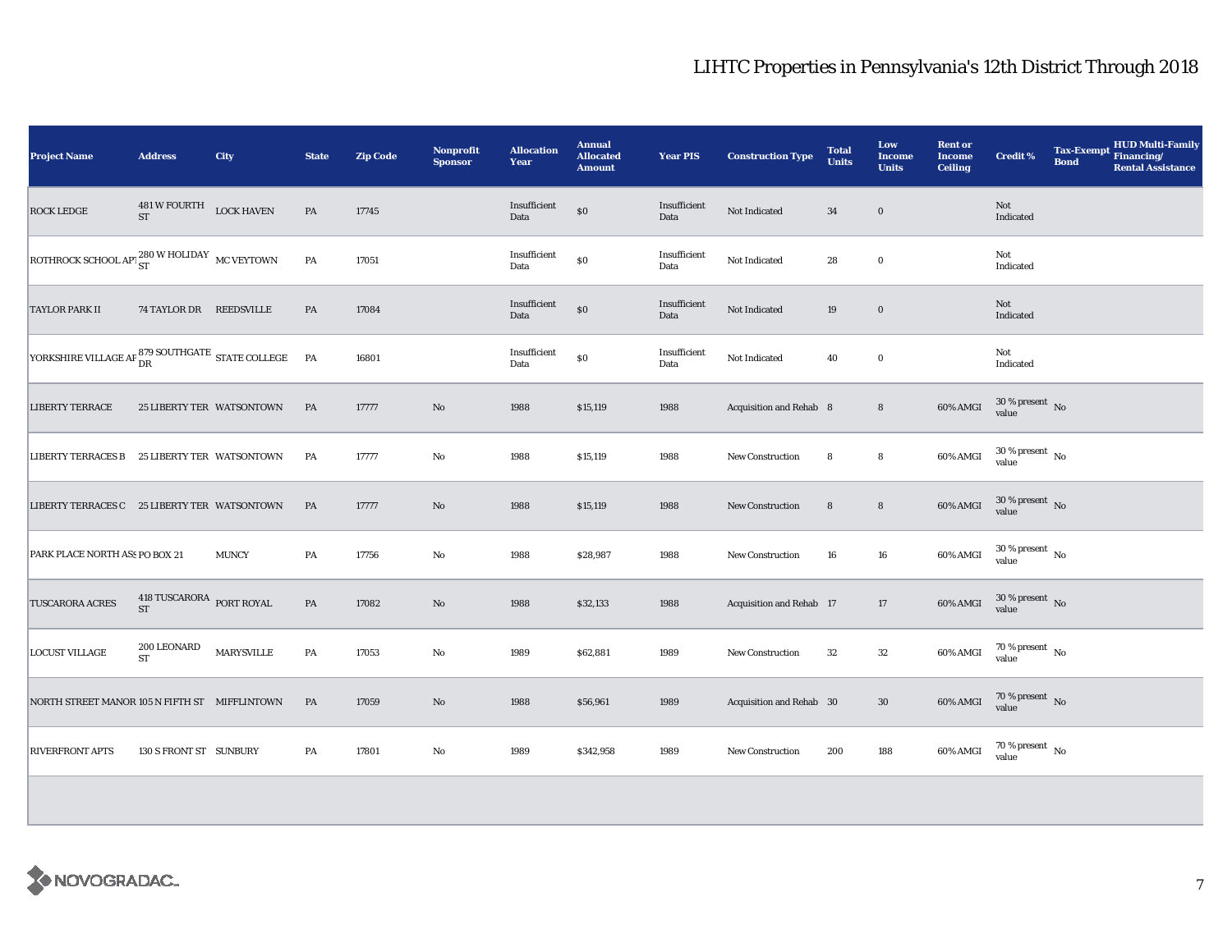| <b>Project Name</b>                                               | <b>Address</b>                                 | <b>City</b>  | <b>State</b>  | <b>Zip Code</b> | <b>Nonprofit</b><br><b>Sponsor</b> | <b>Allocation</b><br>Year | <b>Annual</b><br><b>Allocated</b><br><b>Amount</b> | <b>Year PIS</b>      | <b>Construction Type</b> | <b>Total</b><br><b>Units</b> | Low<br><b>Income</b><br><b>Units</b> | <b>Rent or</b><br><b>Income</b><br><b>Ceiling</b> | <b>Credit %</b>                | <b>HUD Multi-Family</b><br><b>Tax-Exempt</b><br>Financing/<br><b>Bond</b><br><b>Rental Assistance</b> |
|-------------------------------------------------------------------|------------------------------------------------|--------------|---------------|-----------------|------------------------------------|---------------------------|----------------------------------------------------|----------------------|--------------------------|------------------------------|--------------------------------------|---------------------------------------------------|--------------------------------|-------------------------------------------------------------------------------------------------------|
| <b>ROCK LEDGE</b>                                                 | $481\,\mathrm{W}$ FOURTH $$\tt LOCK~HAVEN$$ ST |              | $\mathbf{PA}$ | 17745           |                                    | Insufficient<br>Data      | $\$0$                                              | Insufficient<br>Data | Not Indicated            | $34\,$                       | $\bf{0}$                             |                                                   | Not<br>Indicated               |                                                                                                       |
| ROTHROCK SCHOOL APT $_{ST}^{280}$ W HOLIDAY MC VEYTOWN            |                                                |              | $\mathbf{PA}$ | 17051           |                                    | Insufficient<br>Data      | \$0                                                | Insufficient<br>Data | Not Indicated            | 28                           | $\bf{0}$                             |                                                   | Not<br>Indicated               |                                                                                                       |
| <b>TAYLOR PARK II</b>                                             | 74 TAYLOR DR REEDSVILLE                        |              | PA            | 17084           |                                    | Insufficient<br>Data      | $\$0$                                              | Insufficient<br>Data | Not Indicated            | 19                           | $\bf{0}$                             |                                                   | Not<br>Indicated               |                                                                                                       |
| YORKSHIRE VILLAGE AP $^{879}_{\rm DR}$ SOUTHGATE STATE COLLEGE PA |                                                |              |               | 16801           |                                    | Insufficient<br>Data      | \$0                                                | Insufficient<br>Data | Not Indicated            | 40                           | $\bf{0}$                             |                                                   | Not<br>Indicated               |                                                                                                       |
| <b>LIBERTY TERRACE</b>                                            | 25 LIBERTY TER WATSONTOWN                      |              | PA            | 17777           | $\rm No$                           | 1988                      | \$15,119                                           | 1988                 | Acquisition and Rehab 8  |                              | $\bf8$                               | 60% AMGI                                          | $30\,\%$ present $\,$ No value |                                                                                                       |
| LIBERTY TERRACES B 25 LIBERTY TER WATSONTOWN                      |                                                |              | PA            | 17777           | $\mathbf{No}$                      | 1988                      | \$15,119                                           | 1988                 | <b>New Construction</b>  | 8                            | 8                                    | 60% AMGI                                          | $30\,\%$ present $\,$ No value |                                                                                                       |
| LIBERTY TERRACES C 25 LIBERTY TER WATSONTOWN                      |                                                |              | PA            | 17777           | $\rm No$                           | 1988                      | \$15,119                                           | 1988                 | <b>New Construction</b>  | 8                            | $\bf8$                               | 60% AMGI                                          | $30\,\%$ present $\,$ No value |                                                                                                       |
| PARK PLACE NORTH ASS PO BOX 21                                    |                                                | <b>MUNCY</b> | PA            | 17756           | No                                 | 1988                      | \$28,987                                           | 1988                 | <b>New Construction</b>  | 16                           | 16                                   | $60\%$ AMGI                                       | $30\,\%$ present $\,$ No value |                                                                                                       |
| <b>TUSCARORA ACRES</b>                                            | 418 TUSCARORA PORT ROYAL<br><b>ST</b>          |              | PA            | 17082           | No                                 | 1988                      | \$32,133                                           | 1988                 | Acquisition and Rehab 17 |                              | 17                                   | 60% AMGI                                          | $30\,\%$ present $\,$ No value |                                                                                                       |
| <b>LOCUST VILLAGE</b>                                             | 200 LEONARD<br><b>ST</b>                       | MARYSVILLE   | PA            | 17053           | No                                 | 1989                      | \$62,881                                           | 1989                 | New Construction         | 32                           | 32                                   | 60% AMGI                                          | $70\,\%$ present $\,$ No value |                                                                                                       |
| NORTH STREET MANOR 105 N FIFTH ST MIFFLINTOWN                     |                                                |              | PA            | 17059           | No                                 | 1988                      | \$56,961                                           | 1989                 | Acquisition and Rehab 30 |                              | 30                                   | 60% AMGI                                          | $70\,\%$ present $\,$ No value |                                                                                                       |
| <b>RIVERFRONT APTS</b>                                            | 130 S FRONT ST SUNBURY                         |              | PA            | 17801           | No                                 | 1989                      | \$342,958                                          | 1989                 | New Construction         | 200                          | 188                                  | 60% AMGI                                          | $70\,\%$ present $\,$ No value |                                                                                                       |